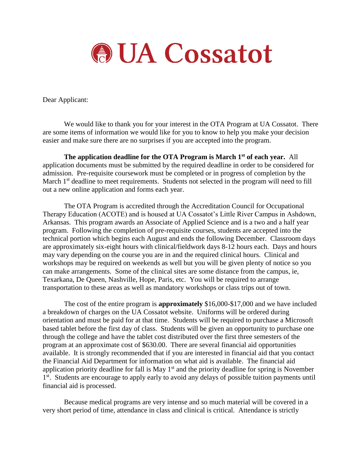

Dear Applicant:

We would like to thank you for your interest in the OTA Program at UA Cossatot. There are some items of information we would like for you to know to help you make your decision easier and make sure there are no surprises if you are accepted into the program.

**The application deadline for the OTA Program is March 1st of each year.** All application documents must be submitted by the required deadline in order to be considered for admission. Pre-requisite coursework must be completed or in progress of completion by the March 1<sup>st</sup> deadline to meet requirements. Students not selected in the program will need to fill out a new online application and forms each year.

The OTA Program is accredited through the Accreditation Council for Occupational Therapy Education (ACOTE) and is housed at UA Cossatot's Little River Campus in Ashdown, Arkansas. This program awards an Associate of Applied Science and is a two and a half year program. Following the completion of pre-requisite courses, students are accepted into the technical portion which begins each August and ends the following December. Classroom days are approximately six-eight hours with clinical/fieldwork days 8-12 hours each. Days and hours may vary depending on the course you are in and the required clinical hours. Clinical and workshops may be required on weekends as well but you will be given plenty of notice so you can make arrangements. Some of the clinical sites are some distance from the campus, ie, Texarkana, De Queen, Nashville, Hope, Paris, etc. You will be required to arrange transportation to these areas as well as mandatory workshops or class trips out of town.

The cost of the entire program is **approximately** \$16,000-\$17,000 and we have included a breakdown of charges on the UA Cossatot website. Uniforms will be ordered during orientation and must be paid for at that time. Students will be required to purchase a Microsoft based tablet before the first day of class. Students will be given an opportunity to purchase one through the college and have the tablet cost distributed over the first three semesters of the program at an approximate cost of \$630.00. There are several financial aid opportunities available. It is strongly recommended that if you are interested in financial aid that you contact the Financial Aid Department for information on what aid is available. The financial aid application priority deadline for fall is May  $1<sup>st</sup>$  and the priority deadline for spring is November 1<sup>st</sup>. Students are encourage to apply early to avoid any delays of possible tuition payments until financial aid is processed.

Because medical programs are very intense and so much material will be covered in a very short period of time, attendance in class and clinical is critical. Attendance is strictly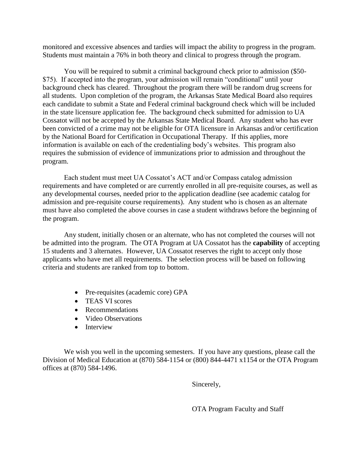monitored and excessive absences and tardies will impact the ability to progress in the program. Students must maintain a 76% in both theory and clinical to progress through the program.

You will be required to submit a criminal background check prior to admission (\$50- \$75). If accepted into the program, your admission will remain "conditional" until your background check has cleared. Throughout the program there will be random drug screens for all students. Upon completion of the program, the Arkansas State Medical Board also requires each candidate to submit a State and Federal criminal background check which will be included in the state licensure application fee. The background check submitted for admission to UA Cossatot will not be accepted by the Arkansas State Medical Board. Any student who has ever been convicted of a crime may not be eligible for OTA licensure in Arkansas and/or certification by the National Board for Certification in Occupational Therapy. If this applies, more information is available on each of the credentialing body's websites. This program also requires the submission of evidence of immunizations prior to admission and throughout the program.

Each student must meet UA Cossatot's ACT and/or Compass catalog admission requirements and have completed or are currently enrolled in all pre-requisite courses, as well as any developmental courses, needed prior to the application deadline (see academic catalog for admission and pre-requisite course requirements). Any student who is chosen as an alternate must have also completed the above courses in case a student withdraws before the beginning of the program.

Any student, initially chosen or an alternate, who has not completed the courses will not be admitted into the program. The OTA Program at UA Cossatot has the **capability** of accepting 15 students and 3 alternates. However, UA Cossatot reserves the right to accept only those applicants who have met all requirements. The selection process will be based on following criteria and students are ranked from top to bottom.

- Pre-requisites (academic core) GPA
- TEAS VI scores
- Recommendations
- Video Observations
- Interview

We wish you well in the upcoming semesters. If you have any questions, please call the Division of Medical Education at (870) 584-1154 or (800) 844-4471 x1154 or the OTA Program offices at (870) 584-1496.

Sincerely,

OTA Program Faculty and Staff